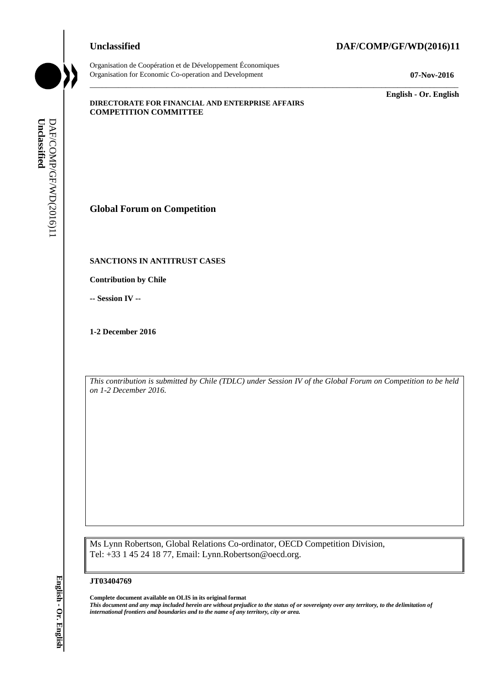# **Unclassified DAF/COMP/GF/WD(2016)11**



Organisation de Coopération et de Développement Économiques Organisation for Economic Co-operation and Development **07-Nov-2016**

\_\_\_\_\_\_\_\_\_\_\_\_\_ **English - Or. English**

## **DIRECTORATE FOR FINANCIAL AND ENTERPRISE AFFAIRS COMPETITION COMMITTEE**

**Global Forum on Competition**

# **SANCTIONS IN ANTITRUST CASES**

**Contribution by Chile**

**-- Session IV --**

**1-2 December 2016**

*This contribution is submitted by Chile (TDLC) under Session IV of the Global Forum on Competition to be held on 1-2 December 2016.*

\_\_\_\_\_\_\_\_\_\_\_\_\_\_\_\_\_\_\_\_\_\_\_\_\_\_\_\_\_\_\_\_\_\_\_\_\_\_\_\_\_\_\_\_\_\_\_\_\_\_\_\_\_\_\_\_\_\_\_\_\_\_\_\_\_\_\_\_\_\_\_\_\_\_\_\_\_\_\_\_\_\_\_\_\_\_\_\_\_\_\_

Ms Lynn Robertson, Global Relations Co-ordinator, OECD Competition Division, Tel: +33 1 45 24 18 77, Email: Lynn.Robertson@oecd.org.

### **JT03404769**

**Complete document available on OLIS in its original format** *This document and any map included herein are without prejudice to the status of or sovereignty over any territory, to the delimitation of*  **iii** *international formula formula formula formula formula formula formula formula formula formula formula formula formula formula formula formula formula formula formula formula formula formula formula formula formula f*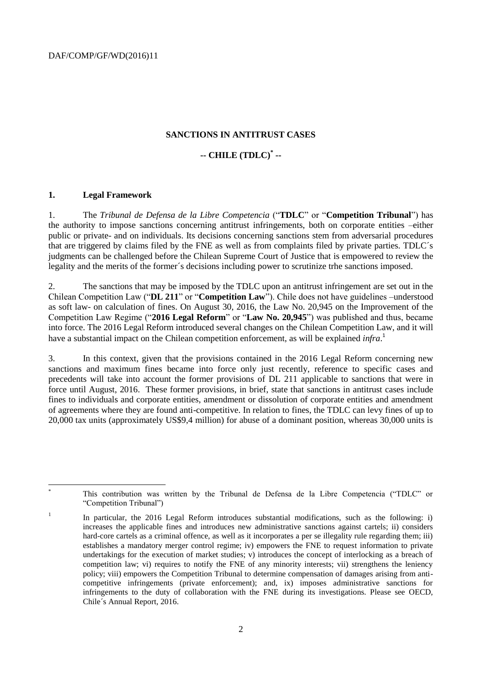DAF/COMP/GF/WD(2016)11

## **SANCTIONS IN ANTITRUST CASES**

# **-- CHILE (TDLC)\* --**

## **1. Legal Framework**

l

1. The *Tribunal de Defensa de la Libre Competencia* ("**TDLC**" or "**Competition Tribunal**") has the authority to impose sanctions concerning antitrust infringements, both on corporate entities –either public or private- and on individuals. Its decisions concerning sanctions stem from adversarial procedures that are triggered by claims filed by the FNE as well as from complaints filed by private parties. TDLC´s judgments can be challenged before the Chilean Supreme Court of Justice that is empowered to review the legality and the merits of the former´s decisions including power to scrutinize trhe sanctions imposed.

2. The sanctions that may be imposed by the TDLC upon an antitrust infringement are set out in the Chilean Competition Law ("**DL 211**" or "**Competition Law**"). Chile does not have guidelines –understood as soft law- on calculation of fines. On August 30, 2016, the Law No. 20,945 on the Improvement of the Competition Law Regime ("**2016 Legal Reform**" or "**Law No. 20,945**") was published and thus, became into force. The 2016 Legal Reform introduced several changes on the Chilean Competition Law, and it will have a substantial impact on the Chilean competition enforcement, as will be explained *infra*. 1

3. In this context, given that the provisions contained in the 2016 Legal Reform concerning new sanctions and maximum fines became into force only just recently, reference to specific cases and precedents will take into account the former provisions of DL 211 applicable to sanctions that were in force until August, 2016. These former provisions, in brief, state that sanctions in antitrust cases include fines to individuals and corporate entities, amendment or dissolution of corporate entities and amendment of agreements where they are found anti-competitive. In relation to fines, the TDLC can levy fines of up to 20,000 tax units (approximately US\$9,4 million) for abuse of a dominant position, whereas 30,000 units is

This contribution was written by the Tribunal de Defensa de la Libre Competencia ("TDLC" or "Competition Tribunal")

<sup>1</sup> In particular, the 2016 Legal Reform introduces substantial modifications, such as the following: i) increases the applicable fines and introduces new administrative sanctions against cartels; ii) considers hard-core cartels as a criminal offence, as well as it incorporates a per se illegality rule regarding them; iii) establishes a mandatory merger control regime; iv) empowers the FNE to request information to private undertakings for the execution of market studies; v) introduces the concept of interlocking as a breach of competition law; vi) requires to notify the FNE of any minority interests; vii) strengthens the leniency policy; viii) empowers the Competition Tribunal to determine compensation of damages arising from anticompetitive infringements (private enforcement); and, ix) imposes administrative sanctions for infringements to the duty of collaboration with the FNE during its investigations. Please see OECD, Chile´s Annual Report, 2016.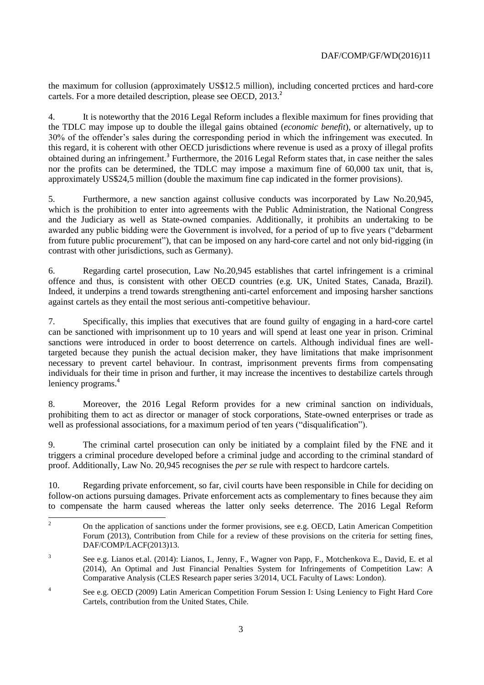the maximum for collusion (approximately US\$12.5 million), including concerted prctices and hard-core cartels. For a more detailed description, please see OECD, 2013.<sup>2</sup>

4. It is noteworthy that the 2016 Legal Reform includes a flexible maximum for fines providing that the TDLC may impose up to double the illegal gains obtained (*economic benefit*), or alternatively, up to 30% of the offender's sales during the corresponding period in which the infringement was executed. In this regard, it is coherent with other OECD jurisdictions where revenue is used as a proxy of illegal profits obtained during an infringement.<sup>3</sup> Furthermore, the 2016 Legal Reform states that, in case neither the sales nor the profits can be determined, the TDLC may impose a maximum fine of 60,000 tax unit, that is, approximately US\$24,5 million (double the maximum fine cap indicated in the former provisions).

5. Furthermore, a new sanction against collusive conducts was incorporated by Law No.20,945, which is the prohibition to enter into agreements with the Public Administration, the National Congress and the Judiciary as well as State-owned companies. Additionally, it prohibits an undertaking to be awarded any public bidding were the Government is involved, for a period of up to five years ("debarment from future public procurement"), that can be imposed on any hard-core cartel and not only bid-rigging (in contrast with other jurisdictions, such as Germany).

6. Regarding cartel prosecution, Law No.20,945 establishes that cartel infringement is a criminal offence and thus, is consistent with other OECD countries (e.g. UK, United States, Canada, Brazil). Indeed, it underpins a trend towards strengthening anti-cartel enforcement and imposing harsher sanctions against cartels as they entail the most serious anti-competitive behaviour.

7. Specifically, this implies that executives that are found guilty of engaging in a hard-core cartel can be sanctioned with imprisonment up to 10 years and will spend at least one year in prison. Criminal sanctions were introduced in order to boost deterrence on cartels. Although individual fines are welltargeted because they punish the actual decision maker, they have limitations that make imprisonment necessary to prevent cartel behaviour. In contrast, imprisonment prevents firms from compensating individuals for their time in prison and further, it may increase the incentives to destabilize cartels through leniency programs.<sup>4</sup>

8. Moreover, the 2016 Legal Reform provides for a new criminal sanction on individuals, prohibiting them to act as director or manager of stock corporations, State-owned enterprises or trade as well as professional associations, for a maximum period of ten years ("disqualification").

9. The criminal cartel prosecution can only be initiated by a complaint filed by the FNE and it triggers a criminal procedure developed before a criminal judge and according to the criminal standard of proof. Additionally, Law No. 20,945 recognises the *per se* rule with respect to hardcore cartels.

10. Regarding private enforcement, so far, civil courts have been responsible in Chile for deciding on follow-on actions pursuing damages. Private enforcement acts as complementary to fines because they aim to compensate the harm caused whereas the latter only seeks deterrence. The 2016 Legal Reform

 $\overline{2}$ <sup>2</sup> On the application of sanctions under the former provisions, see e.g. OECD, Latin American Competition Forum (2013), Contribution from Chile for a review of these provisions on the criteria for setting fines, DAF/COMP/LACF(2013)13.

<sup>3</sup> See e.g. Lianos et.al. (2014): Lianos, I., Jenny, F., Wagner von Papp, F., Motchenkova E., David, E. et al (2014), An Optimal and Just Financial Penalties System for Infringements of Competition Law: A Comparative Analysis (CLES Research paper series 3/2014, UCL Faculty of Laws: London).

<sup>4</sup> See e.g. OECD (2009) Latin American Competition Forum Session I: Using Leniency to Fight Hard Core Cartels, contribution from the United States, Chile.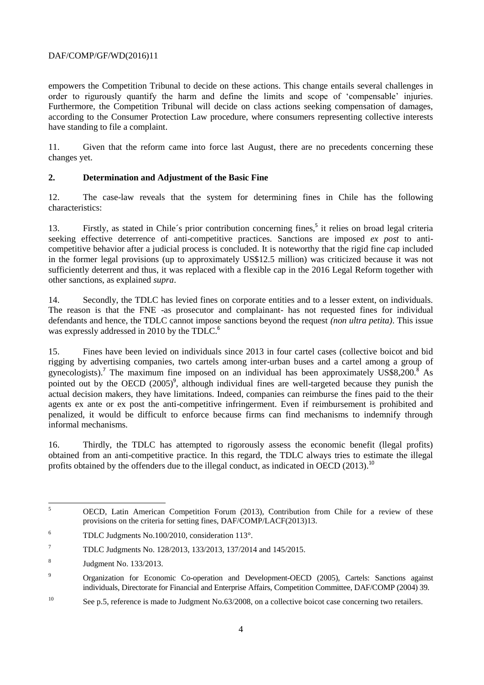# DAF/COMP/GF/WD(2016)11

empowers the Competition Tribunal to decide on these actions. This change entails several challenges in order to rigurously quantify the harm and define the limits and scope of 'compensable' injuries. Furthermore, the Competition Tribunal will decide on class actions seeking compensation of damages, according to the Consumer Protection Law procedure, where consumers representing collective interests have standing to file a complaint.

11. Given that the reform came into force last August, there are no precedents concerning these changes yet.

# **2. Determination and Adjustment of the Basic Fine**

12. The case-law reveals that the system for determining fines in Chile has the following characteristics:

13. Firstly, as stated in Chile´s prior contribution concerning fines, 5 it relies on broad legal criteria seeking effective deterrence of anti-competitive practices. Sanctions are imposed *ex post* to anticompetitive behavior after a judicial process is concluded. It is noteworthy that the rigid fine cap included in the former legal provisions (up to approximately US\$12.5 million) was criticized because it was not sufficiently deterrent and thus, it was replaced with a flexible cap in the 2016 Legal Reform together with other sanctions, as explained *supra*.

14. Secondly, the TDLC has levied fines on corporate entities and to a lesser extent, on individuals. The reason is that the FNE -as prosecutor and complainant- has not requested fines for individual defendants and hence, the TDLC cannot impose sanctions beyond the request *(non ultra petita)*. This issue was expressly addressed in 2010 by the TDLC.<sup>6</sup>

15. Fines have been levied on individuals since 2013 in four cartel cases (collective boicot and bid rigging by advertising companies, two cartels among inter-urban buses and a cartel among a group of gynecologists).<sup>7</sup> The maximum fine imposed on an individual has been approximately US\$8,200.<sup>8</sup> As pointed out by the OECD  $(2005)^9$ , although individual fines are well-targeted because they punish the actual decision makers, they have limitations. Indeed, companies can reimburse the fines paid to the their agents ex ante or ex post the anti-competitive infringerment. Even if reimbursement is prohibited and penalized, it would be difficult to enforce because firms can find mechanisms to indemnify through informal mechanisms.

16. Thirdly, the TDLC has attempted to rigorously assess the economic benefit (llegal profits) obtained from an anti-competitive practice. In this regard, the TDLC always tries to estimate the illegal profits obtained by the offenders due to the illegal conduct, as indicated in OECD (2013).<sup>10</sup>

 $\overline{5}$ <sup>5</sup> OECD, Latin American Competition Forum (2013), Contribution from Chile for a review of these provisions on the criteria for setting fines, DAF/COMP/LACF(2013)13.

<sup>6</sup> TDLC Judgments No.100/2010, consideration 113°.

<sup>7</sup> TDLC Judgments No. 128/2013, 133/2013, 137/2014 and 145/2015.

<sup>8</sup> Judgment No. 133/2013.

<sup>9</sup> Organization for Economic Co-operation and Development-OECD (2005), Cartels: Sanctions against individuals, Directorate for Financial and Enterprise Affairs, Competition Committee, DAF/COMP (2004) 39.

<sup>&</sup>lt;sup>10</sup> See p.5, reference is made to Judgment No.63/2008, on a collective boicot case concerning two retailers.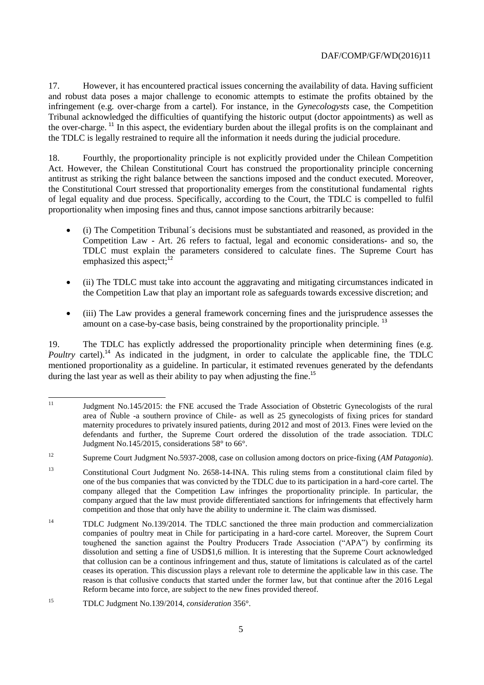17. However, it has encountered practical issues concerning the availability of data. Having sufficient and robust data poses a major challenge to economic attempts to estimate the profits obtained by the infringement (e.g. over-charge from a cartel). For instance, in the *Gynecologysts* case, the Competition Tribunal acknowledged the difficulties of quantifying the historic output (doctor appointments) as well as the over-charge. <sup>11</sup> In this aspect, the evidentiary burden about the illegal profits is on the complainant and the TDLC is legally restrained to require all the information it needs during the judicial procedure.

18. Fourthly, the proportionality principle is not explicitly provided under the Chilean Competition Act. However, the Chilean Constitutional Court has construed the proportionality principle concerning antitrust as striking the right balance between the sanctions imposed and the conduct executed. Moreover, the Constitutional Court stressed that proportionality emerges from the constitutional fundamental rights of legal equality and due process. Specifically, according to the Court, the TDLC is compelled to fulfil proportionality when imposing fines and thus, cannot impose sanctions arbitrarily because:

- (i) The Competition Tribunal´s decisions must be substantiated and reasoned, as provided in the Competition Law - Art. 26 refers to factual, legal and economic considerations- and so, the TDLC must explain the parameters considered to calculate fines. The Supreme Court has emphasized this aspect: $12$
- (ii) The TDLC must take into account the aggravating and mitigating circumstances indicated in the Competition Law that play an important role as safeguards towards excessive discretion; and
- (iii) The Law provides a general framework concerning fines and the jurisprudence assesses the amount on a case-by-case basis, being constrained by the proportionality principle.<sup>13</sup>

19. The TDLC has explictly addressed the proportionality principle when determining fines (e.g. *Poultry* cartel).<sup>14</sup> As indicated in the judgment, in order to calculate the applicable fine, the TDLC mentioned proportionality as a guideline. In particular, it estimated revenues generated by the defendants during the last year as well as their ability to pay when adjusting the fine.<sup>15</sup>

 $11\,$ <sup>11</sup> Judgment No.145/2015: the FNE accused the Trade Association of Obstetric Gynecologists of the rural area of Ñuble -a southern province of Chile- as well as 25 gynecologists of fixing prices for standard maternity procedures to privately insured patients, during 2012 and most of 2013. Fines were levied on the defendants and further, the Supreme Court ordered the dissolution of the trade association. TDLC Judgment No.145/2015, considerations 58° to 66°.

<sup>12</sup> Supreme Court Judgment No.5937-2008, case on collusion among doctors on price-fixing (*AM Patagonia*).

<sup>13</sup> Constitutional Court Judgment No. 2658-14-INA. This ruling stems from a constitutional claim filed by one of the bus companies that was convicted by the TDLC due to its participation in a hard-core cartel. The company alleged that the Competition Law infringes the proportionality principle. In particular, the company argued that the law must provide differentiated sanctions for infringements that effectively harm competition and those that only have the ability to undermine it. The claim was dismissed.

<sup>&</sup>lt;sup>14</sup> TDLC Judgment No.139/2014. The TDLC sanctioned the three main production and commercialization companies of poultry meat in Chile for participating in a hard-core cartel. Moreover, the Suprem Court toughened the sanction against the Poultry Producers Trade Association ("APA") by confirming its dissolution and setting a fine of USD\$1,6 million. It is interesting that the Supreme Court acknowledged that collusion can be a continous infringement and thus, statute of limitations is calculated as of the cartel ceases its operation. This discussion plays a relevant role to determine the applicable law in this case. The reason is that collusive conducts that started under the former law, but that continue after the 2016 Legal Reform became into force, are subject to the new fines provided thereof.

<sup>15</sup> TDLC Judgment No.139/2014, *consideration* 356°.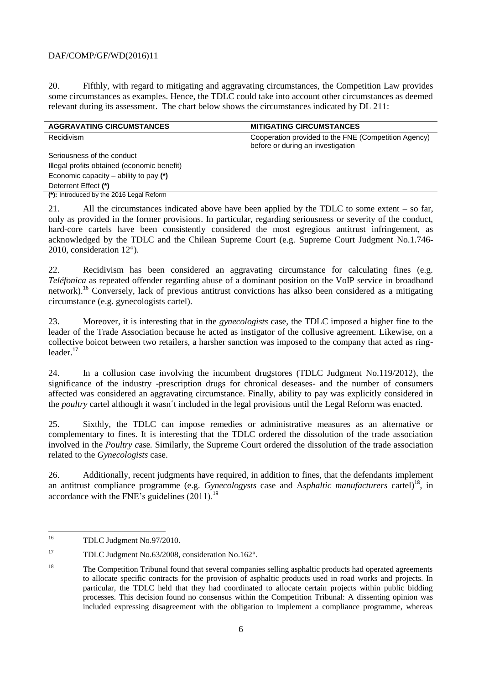# DAF/COMP/GF/WD(2016)11

20. Fifthly, with regard to mitigating and aggravating circumstances, the Competition Law provides some circumstances as examples. Hence, the TDLC could take into account other circumstances as deemed relevant during its assessment. The chart below shows the circumstances indicated by DL 211:

| <b>AGGRAVATING CIRCUMSTANCES</b>            | <b>MITIGATING CIRCUMSTANCES</b>                                                           |
|---------------------------------------------|-------------------------------------------------------------------------------------------|
| Recidivism                                  | Cooperation provided to the FNE (Competition Agency)<br>before or during an investigation |
| Seriousness of the conduct                  |                                                                                           |
| Illegal profits obtained (economic benefit) |                                                                                           |
| Economic capacity – ability to pay $(*)$    |                                                                                           |
| Deterrent Effect (*)                        |                                                                                           |
| (*): Introduced by the 2016 Legal Reform    |                                                                                           |

21. All the circumstances indicated above have been applied by the TDLC to some extent – so far, only as provided in the former provisions. In particular, regarding seriousness or severity of the conduct, hard-core cartels have been consistently considered the most egregious antitrust infringement, as acknowledged by the TDLC and the Chilean Supreme Court (e.g. Supreme Court Judgment No.1.746- 2010, consideration 12°).

22. Recidivism has been considered an aggravating circumstance for calculating fines (e.g. *Teléfonica* as repeated offender regarding abuse of a dominant position on the VoIP service in broadband network).<sup>16</sup> Conversely, lack of previous antitrust convictions has alkso been considered as a mitigating circumstance (e.g. gynecologists cartel).

23. Moreover, it is interesting that in the *gynecologists* case, the TDLC imposed a higher fine to the leader of the Trade Association because he acted as instigator of the collusive agreement. Likewise, on a collective boicot between two retailers, a harsher sanction was imposed to the company that acted as ringleader.<sup>17</sup>

24. In a collusion case involving the incumbent drugstores (TDLC Judgment No.119/2012), the significance of the industry -prescription drugs for chronical deseases- and the number of consumers affected was considered an aggravating circumstance. Finally, ability to pay was explicitly considered in the *poultry* cartel although it wasn´t included in the legal provisions until the Legal Reform was enacted.

25. Sixthly, the TDLC can impose remedies or administrative measures as an alternative or complementary to fines. It is interesting that the TDLC ordered the dissolution of the trade association involved in the *Poultry c*ase*.* Similarly, the Supreme Court ordered the dissolution of the trade association related to the *Gynecologists* case.

26. Additionally, recent judgments have required, in addition to fines, that the defendants implement an antitrust compliance programme (e.g. *Gynecologysts* case and A*sphaltic manufacturers* cartel) <sup>18</sup>, in accordance with the FNE's guidelines  $(2011)^{19}$ 

<sup>16</sup> <sup>16</sup> TDLC Judgment No.97/2010.

<sup>17</sup> TDLC Judgment No.63/2008, consideration No.162°.

<sup>&</sup>lt;sup>18</sup> The Competition Tribunal found that several companies selling asphaltic products had operated agreements to allocate specific contracts for the provision of asphaltic products used in road works and projects. In particular, the TDLC held that they had coordinated to allocate certain projects within public bidding processes. This decision found no consensus within the Competition Tribunal: A dissenting opinion was included expressing disagreement with the obligation to implement a compliance programme, whereas